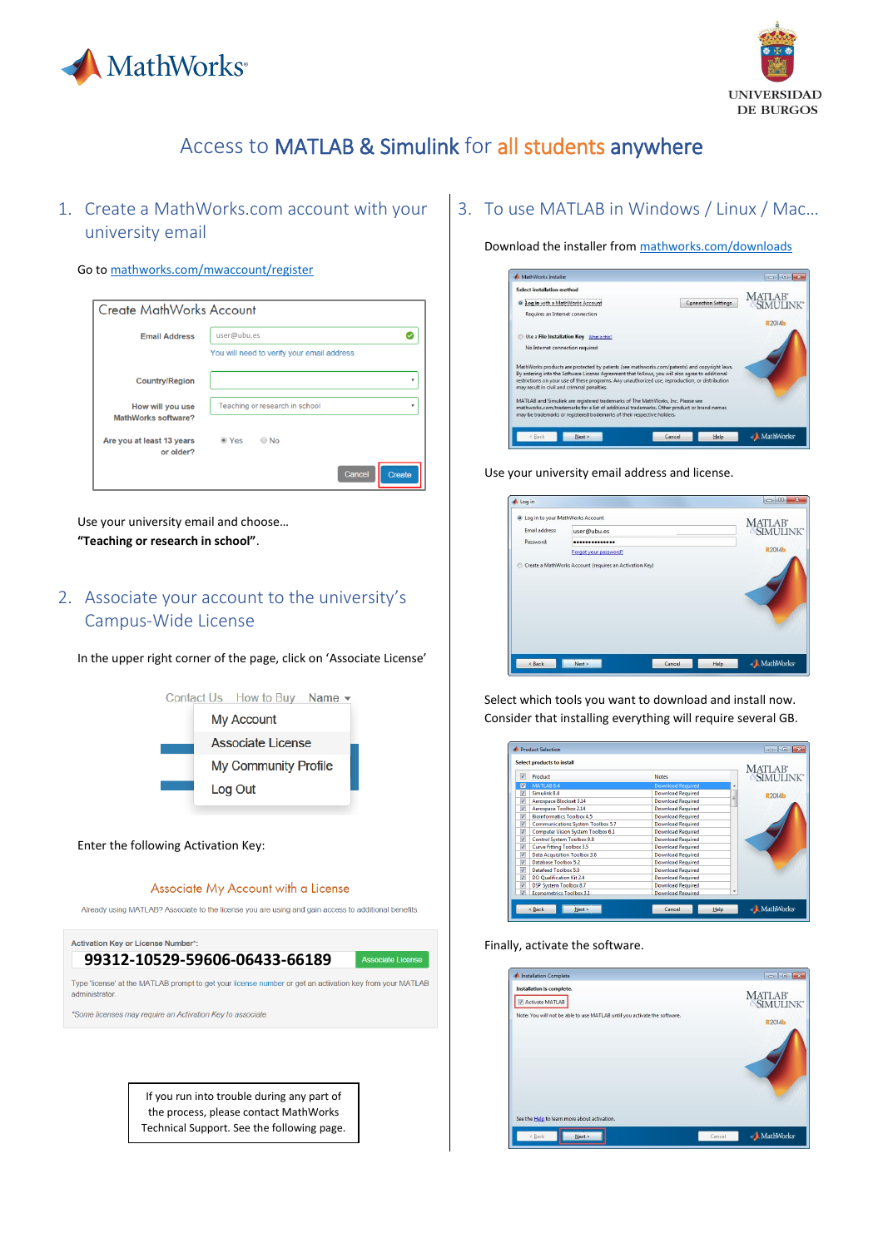



# Access to MATLAB & Simulink for all students anywhere

1. Create a MathWorks.com account with your university email

#### Go t[o mathworks.com/mwaccount/register](https://www.mathworks.com/mwaccount/register)

| <b>Create MathWorks Account</b>         |                                            |               |
|-----------------------------------------|--------------------------------------------|---------------|
| <b>Email Address</b>                    | user@ubu.es                                |               |
|                                         | You will need to verify your email address |               |
| <b>Country/Region</b>                   |                                            | $\mathbf{v}$  |
| How will you use<br>MathWorks software? | Teaching or research in school             | $\mathbf{v}$  |
| Are you at least 13 years<br>or older?  | $\bigcirc$ No<br>$\bullet$ Yes             |               |
|                                         | Cancel                                     | <b>Create</b> |

Use your university email and choose… **"Teaching or research in school"**.

# 2. Associate your account to the university's Campus-Wide License

In the upper right corner of the page, click on 'Associate License'



Enter the following Activation Key:

#### Associate My Account with a License

Already using MATLAB? Associate to the license you are using and gain access to additional benefits.



If you run into trouble during any part of the process, please contact MathWorks Technical Support. See the following page.

# 3. To use MATLAB in Windows / Linux / Mac…

Download the installer from [mathworks.com/downloads](https://www.mathworks.com/downloads)

| Select installation method |                                                                                                                                                                                                                                                          |                            | <b>MATLAB</b>      |
|----------------------------|----------------------------------------------------------------------------------------------------------------------------------------------------------------------------------------------------------------------------------------------------------|----------------------------|--------------------|
|                            | <sup>o</sup> Log in with a MathWorks Account                                                                                                                                                                                                             | <b>Connection Settings</b> | <b>SIMI II INK</b> |
|                            | Requires an Internet connection                                                                                                                                                                                                                          |                            |                    |
|                            |                                                                                                                                                                                                                                                          |                            | R2014b             |
|                            | Use a File Installation Key What is this?                                                                                                                                                                                                                |                            |                    |
|                            | No Internet connection required                                                                                                                                                                                                                          |                            |                    |
|                            |                                                                                                                                                                                                                                                          |                            |                    |
|                            | MathWorks products are protected by patents (see mathworks.com/patents) and copyright laws.                                                                                                                                                              |                            |                    |
|                            | By entering into the Software License Agreement that follows, you will also agree to additional<br>restrictions on your use of these programs. Any unauthorized use, reproduction, or distribution<br>may result in civil and criminal penalties.        |                            |                    |
|                            |                                                                                                                                                                                                                                                          |                            |                    |
|                            |                                                                                                                                                                                                                                                          |                            |                    |
|                            | MATLAB and Simulink are registered trademarks of The MathWorks, Inc. Please see<br>mathworks.com/trademarks for a list of additional trademarks. Other product or brand names<br>may be trademarks or registered trademarks of their respective holders. |                            |                    |

Use your university email address and license.

| Log in                                        |                       |        |      | ×<br>$\Box$       |
|-----------------------------------------------|-----------------------|--------|------|-------------------|
| <sup>O</sup> Log in to your MathWorks Account |                       |        |      |                   |
| Email address:                                | user@ubu.es           |        |      | MATLAB' SIMULINK' |
| Password:                                     |                       |        |      |                   |
|                                               | Forgot your password? |        |      | <b>R2014b</b>     |
|                                               |                       |        |      |                   |
| < Back                                        | Next                  | Cancel | Help | MathWorks         |

Select which tools you want to download and install now. Consider that installing everything will require several GB.

| Δ                       | Product                                   | <b>Notes</b>             | MATLAB <sup>®</sup><br>SIMULINK® |
|-------------------------|-------------------------------------------|--------------------------|----------------------------------|
| ☑                       | MATLAB <sub>8.4</sub>                     | <b>Download Required</b> | ٠                                |
| $\overline{\mathsf{v}}$ | Simulink 8.4                              | <b>Download Required</b> | <b>R2014b</b>                    |
| V                       | Aerospace Blockset 3.14                   | <b>Download Required</b> | Ε                                |
| $\overline{\mathsf{v}}$ | Aerospace Toolbox 2.14                    | <b>Download Required</b> |                                  |
| V                       | <b>Bioinformatics Toolbox 4.5</b>         | <b>Download Required</b> |                                  |
| $\Delta$                | <b>Communications System Toolbox 5.7</b>  | <b>Download Required</b> |                                  |
| V                       | <b>Computer Vision System Toolbox 6.1</b> | <b>Download Required</b> |                                  |
| $\overline{\mathsf{v}}$ | Control System Toolbox 9.8                | <b>Download Required</b> |                                  |
| $\overline{\mathsf{v}}$ | <b>Curve Fitting Toolbox 3.5</b>          | <b>Download Required</b> |                                  |
| V                       | <b>Data Acquisition Toolbox 3.6</b>       | <b>Download Required</b> |                                  |
| V                       | Database Toolbox 5.2                      | <b>Download Required</b> |                                  |
| V                       | Datafeed Toolbox 5.0                      | <b>Download Required</b> |                                  |
| $\overline{\mathsf{v}}$ | <b>DO Qualification Kit 2.4</b>           | <b>Download Required</b> |                                  |
| $\overline{\mathbf{v}}$ | DSP System Toolbox 8.7                    | <b>Download Required</b> |                                  |
| $\overline{\mathbf{v}}$ | <b>Econometrics Toolbox 3.1</b>           | <b>Download Required</b> | ۰                                |

Finally, activate the software.

| <b>Installation is complete.</b><br>Activate MATLAB                       | MATLAB <sup>*</sup><br>SIMULINK <sup>*</sup> |
|---------------------------------------------------------------------------|----------------------------------------------|
| Note: You will not be able to use MATLAB until you activate the software. | <b>R2014b</b>                                |
|                                                                           |                                              |
| See the Help to learn more about activation.                              |                                              |